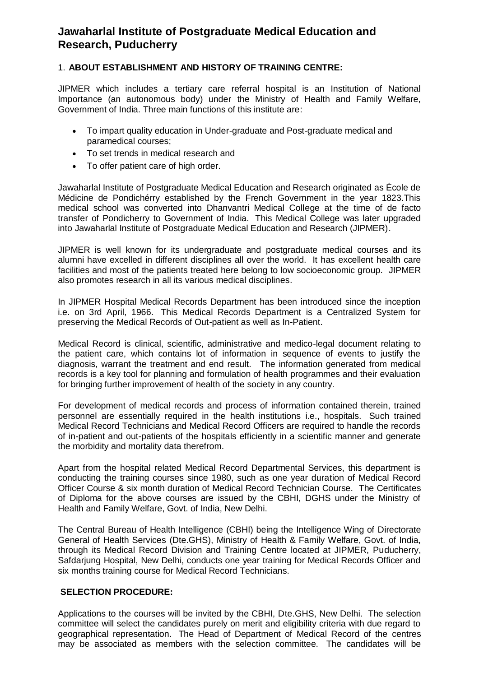# **Jawaharlal Institute of Postgraduate Medical Education and Research, Puducherry**

### 1. **ABOUT ESTABLISHMENT AND HISTORY OF TRAINING CENTRE:**

JIPMER which includes a tertiary care referral hospital is an Institution of National Importance (an autonomous body) under the Ministry of Health and Family Welfare, Government of India. Three main functions of this institute are:

- To impart quality education in Under-graduate and Post-graduate medical and paramedical courses;
- To set trends in medical research and
- To offer patient care of high order.

Jawaharlal Institute of Postgraduate Medical Education and Research originated as École de Médicine de Pondichérry established by the French Government in the year 1823.This medical school was converted into Dhanvantri Medical College at the time of de facto transfer of Pondicherry to Government of India. This Medical College was later upgraded into Jawaharlal Institute of Postgraduate Medical Education and Research (JIPMER).

JIPMER is well known for its undergraduate and postgraduate medical courses and its alumni have excelled in different disciplines all over the world. It has excellent health care facilities and most of the patients treated here belong to low socioeconomic group. JIPMER also promotes research in all its various medical disciplines.

In JIPMER Hospital Medical Records Department has been introduced since the inception i.e. on 3rd April, 1966. This Medical Records Department is a Centralized System for preserving the Medical Records of Out-patient as well as In-Patient.

Medical Record is clinical, scientific, administrative and medico-legal document relating to the patient care, which contains lot of information in sequence of events to justify the diagnosis, warrant the treatment and end result. The information generated from medical records is a key tool for planning and formulation of health programmes and their evaluation for bringing further improvement of health of the society in any country.

For development of medical records and process of information contained therein, trained personnel are essentially required in the health institutions i.e., hospitals. Such trained Medical Record Technicians and Medical Record Officers are required to handle the records of in-patient and out-patients of the hospitals efficiently in a scientific manner and generate the morbidity and mortality data therefrom.

Apart from the hospital related Medical Record Departmental Services, this department is conducting the training courses since 1980, such as one year duration of Medical Record Officer Course & six month duration of Medical Record Technician Course. The Certificates of Diploma for the above courses are issued by the CBHI, DGHS under the Ministry of Health and Family Welfare, Govt. of India, New Delhi.

The Central Bureau of Health Intelligence (CBHI) being the Intelligence Wing of Directorate General of Health Services (Dte.GHS), Ministry of Health & Family Welfare, Govt. of India, through its Medical Record Division and Training Centre located at JIPMER, Puducherry, Safdarjung Hospital, New Delhi, conducts one year training for Medical Records Officer and six months training course for Medical Record Technicians.

### **SELECTION PROCEDURE:**

Applications to the courses will be invited by the CBHI, Dte.GHS, New Delhi. The selection committee will select the candidates purely on merit and eligibility criteria with due regard to geographical representation. The Head of Department of Medical Record of the centres may be associated as members with the selection committee. The candidates will be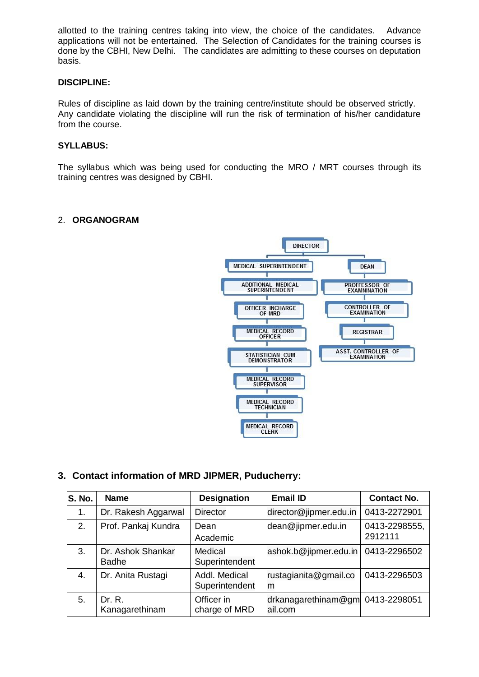allotted to the training centres taking into view, the choice of the candidates. Advance applications will not be entertained. The Selection of Candidates for the training courses is done by the CBHI, New Delhi. The candidates are admitting to these courses on deputation basis.

#### **DISCIPLINE:**

Rules of discipline as laid down by the training centre/institute should be observed strictly. Any candidate violating the discipline will run the risk of termination of his/her candidature from the course.

### **SYLLABUS:**

The syllabus which was being used for conducting the MRO / MRT courses through its training centres was designed by CBHI.

#### 2. **ORGANOGRAM**



# **3. Contact information of MRD JIPMER, Puducherry:**

| S. No. | <b>Name</b>                       | <b>Designation</b>              | <b>Email ID</b>                       | <b>Contact No.</b>       |
|--------|-----------------------------------|---------------------------------|---------------------------------------|--------------------------|
| 1.     | Dr. Rakesh Aggarwal               | <b>Director</b>                 | director@jipmer.edu.in                | 0413-2272901             |
| 2.     | Prof. Pankaj Kundra               | Dean<br>Academic                | dean@jipmer.edu.in                    | 0413-2298555,<br>2912111 |
| 3.     | Dr. Ashok Shankar<br><b>Badhe</b> | Medical<br>Superintendent       | ashok.b@jipmer.edu.in                 | 0413-2296502             |
| 4.     | Dr. Anita Rustagi                 | Addl. Medical<br>Superintendent | rustagianita@gmail.co<br>m            | 0413-2296503             |
| 5.     | Dr. R.<br>Kanagarethinam          | Officer in<br>charge of MRD     | $dr$ kanagarethinam $@$ gm<br>ail.com | 0413-2298051             |